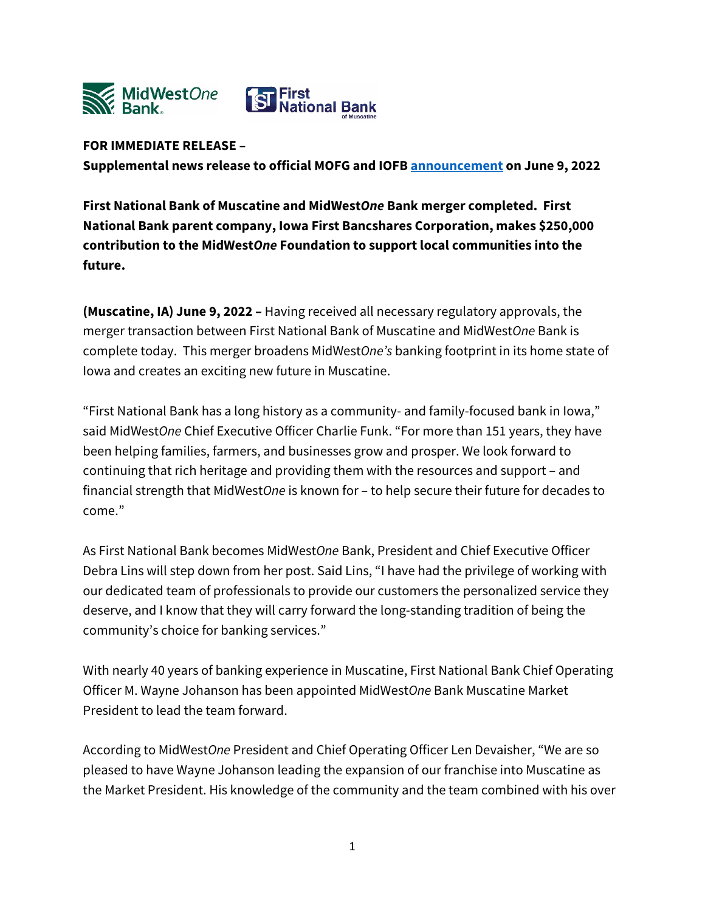

## **FOR IMMEDIATE RELEASE –**

**Supplemental news release to official MOFG and IOFB [announcement](https://www.midwestonefinancial.com/news-market-information/press-releases/default.aspx) on June 9, 2022**

**First National Bank of Muscatine and MidWest***One* **Bank merger completed. First National Bank parent company, Iowa First Bancshares Corporation, makes \$250,000 contribution to the MidWest***One* **Foundation to support local communities into the future.**

**(Muscatine, IA) June 9, 2022 –** Having received all necessary regulatory approvals, the merger transaction between First National Bank of Muscatine and MidWest*One* Bank is complete today. This merger broadens MidWest*One's* banking footprint in its home state of Iowa and creates an exciting new future in Muscatine.

"First National Bank has a long history as a community- and family-focused bank in Iowa," said MidWest*One* Chief Executive Officer Charlie Funk. "For more than 151 years, they have been helping families, farmers, and businesses grow and prosper. We look forward to continuing that rich heritage and providing them with the resources and support – and financial strength that MidWest*One* is known for – to help secure their future for decades to come."

As First National Bank becomes MidWest*One* Bank, President and Chief Executive Officer Debra Lins will step down from her post. Said Lins, "I have had the privilege of working with our dedicated team of professionals to provide our customers the personalized service they deserve, and I know that they will carry forward the long-standing tradition of being the community's choice for banking services."

With nearly 40 years of banking experience in Muscatine, First National Bank Chief Operating Officer M. Wayne Johanson has been appointed MidWest*One* Bank Muscatine Market President to lead the team forward.

According to MidWest*One* President and Chief Operating Officer Len Devaisher, "We are so pleased to have Wayne Johanson leading the expansion of our franchise into Muscatine as the Market President. His knowledge of the community and the team combined with his over